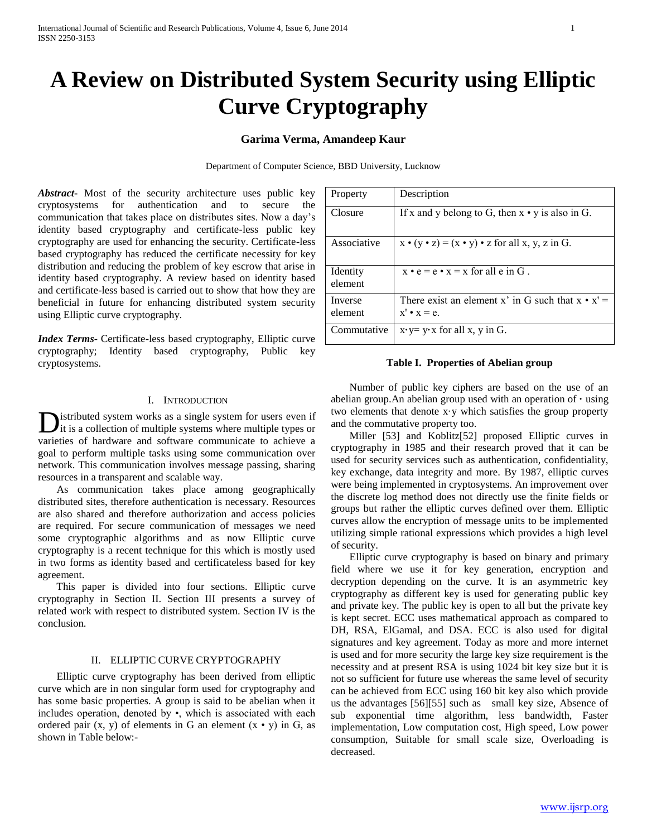# **A Review on Distributed System Security using Elliptic Curve Cryptography**

## **Garima Verma, Amandeep Kaur**

Department of Computer Science, BBD University, Lucknow

*Abstract***-** Most of the security architecture uses public key cryptosystems for authentication and to secure the communication that takes place on distributes sites. Now a day's identity based cryptography and certificate-less public key cryptography are used for enhancing the security. Certificate-less based cryptography has reduced the certificate necessity for key distribution and reducing the problem of key escrow that arise in identity based cryptography. A review based on identity based and certificate-less based is carried out to show that how they are beneficial in future for enhancing distributed system security using Elliptic curve cryptography.

*Index Terms*- Certificate-less based cryptography, Elliptic curve cryptography; Identity based cryptography, Public key cryptosystems.

## Property Description Closure If x and y belong to G, then  $x \cdot y$  is also in G. Associative  $x \cdot (y \cdot z) = (x \cdot y) \cdot z$  for all x, y, z in G. Identity element  $x \cdot e = e \cdot x = x$  for all e in G. Inverse element There exist an element x' in G such that  $x \cdot x' =$  $x' \cdot x = e$ . Commutative  $x \cdot y = y \cdot x$  for all x, y in G.

#### **Table I. Properties of Abelian group**

I. INTRODUCTION

istributed system works as a single system for users even if **D**istributed system works as a single system for users even if it is a collection of multiple systems where multiple types or varieties of hardware and software communicate to achieve a goal to perform multiple tasks using some communication over network. This communication involves message passing, sharing resources in a transparent and scalable way.

 As communication takes place among geographically distributed sites, therefore authentication is necessary. Resources are also shared and therefore authorization and access policies are required. For secure communication of messages we need some cryptographic algorithms and as now Elliptic curve cryptography is a recent technique for this which is mostly used in two forms as identity based and certificateless based for key agreement.

 This paper is divided into four sections. Elliptic curve cryptography in Section II. Section III presents a survey of related work with respect to distributed system. Section IV is the conclusion.

### II. ELLIPTIC CURVE CRYPTOGRAPHY

 Elliptic curve cryptography has been derived from elliptic curve which are in non singular form used for cryptography and has some basic properties. A group is said to be abelian when it includes operation, denoted by •, which is associated with each ordered pair  $(x, y)$  of elements in G an element  $(x \cdot y)$  in G, as shown in Table below:-

 Number of public key ciphers are based on the use of an abelian group. An abelian group used with an operation of  $\cdot$  using two elements that denote x·y which satisfies the group property and the commutative property too.

 Miller [53] and Koblitz[52] proposed Elliptic curves in cryptography in 1985 and their research proved that it can be used for security services such as authentication, confidentiality, key exchange, data integrity and more. By 1987, elliptic curves were being implemented in cryptosystems. An improvement over the discrete log method does not directly use the finite fields or groups but rather the elliptic curves defined over them. Elliptic curves allow the encryption of message units to be implemented utilizing simple rational expressions which provides a high level of security.

 Elliptic curve cryptography is based on binary and primary field where we use it for key generation, encryption and decryption depending on the curve. It is an asymmetric key cryptography as different key is used for generating public key and private key. The public key is open to all but the private key is kept secret. ECC uses mathematical approach as compared to DH, RSA, ElGamal, and DSA. ECC is also used for digital signatures and key agreement. Today as more and more internet is used and for more security the large key size requirement is the necessity and at present RSA is using 1024 bit key size but it is not so sufficient for future use whereas the same level of security can be achieved from ECC using 160 bit key also which provide us the advantages [56][55] such as small key size, Absence of sub exponential time algorithm, less bandwidth, Faster implementation, Low computation cost, High speed, Low power consumption, Suitable for small scale size, Overloading is decreased.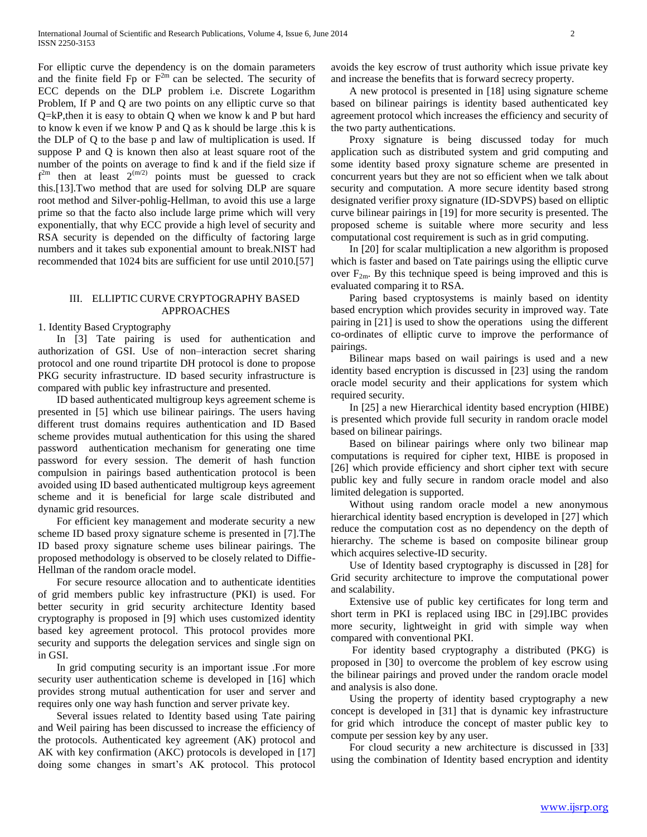For elliptic curve the dependency is on the domain parameters and the finite field Fp or  $F<sup>2m</sup>$  can be selected. The security of ECC depends on the DLP problem i.e. Discrete Logarithm Problem, If P and Q are two points on any elliptic curve so that Q=kP,then it is easy to obtain Q when we know k and P but hard to know k even if we know P and Q as k should be large .this k is the DLP of Q to the base p and law of multiplication is used. If suppose P and Q is known then also at least square root of the number of the points on average to find k and if the field size if  $f<sup>2m</sup>$  then at least  $2^{(m/2)}$  points must be guessed to crack this.[13].Two method that are used for solving DLP are square root method and Silver-pohlig-Hellman, to avoid this use a large prime so that the facto also include large prime which will very exponentially, that why ECC provide a high level of security and RSA security is depended on the difficulty of factoring large numbers and it takes sub exponential amount to break.NIST had recommended that 1024 bits are sufficient for use until 2010.[57]

### III. ELLIPTIC CURVE CRYPTOGRAPHY BASED APPROACHES

1. Identity Based Cryptography

 In [3] Tate pairing is used for authentication and authorization of GSI. Use of non–interaction secret sharing protocol and one round tripartite DH protocol is done to propose PKG security infrastructure. ID based security infrastructure is compared with public key infrastructure and presented.

 ID based authenticated multigroup keys agreement scheme is presented in [5] which use bilinear pairings. The users having different trust domains requires authentication and ID Based scheme provides mutual authentication for this using the shared password authentication mechanism for generating one time password for every session. The demerit of hash function compulsion in pairings based authentication protocol is been avoided using ID based authenticated multigroup keys agreement scheme and it is beneficial for large scale distributed and dynamic grid resources.

 For efficient key management and moderate security a new scheme ID based proxy signature scheme is presented in [7].The ID based proxy signature scheme uses bilinear pairings. The proposed methodology is observed to be closely related to Diffie-Hellman of the random oracle model.

 For secure resource allocation and to authenticate identities of grid members public key infrastructure (PKI) is used. For better security in grid security architecture Identity based cryptography is proposed in [9] which uses customized identity based key agreement protocol. This protocol provides more security and supports the delegation services and single sign on in GSI.

 In grid computing security is an important issue .For more security user authentication scheme is developed in [16] which provides strong mutual authentication for user and server and requires only one way hash function and server private key.

 Several issues related to Identity based using Tate pairing and Weil pairing has been discussed to increase the efficiency of the protocols. Authenticated key agreement (AK) protocol and AK with key confirmation (AKC) protocols is developed in [17] doing some changes in smart's AK protocol. This protocol

avoids the key escrow of trust authority which issue private key and increase the benefits that is forward secrecy property.

 A new protocol is presented in [18] using signature scheme based on bilinear pairings is identity based authenticated key agreement protocol which increases the efficiency and security of the two party authentications.

 Proxy signature is being discussed today for much application such as distributed system and grid computing and some identity based proxy signature scheme are presented in concurrent years but they are not so efficient when we talk about security and computation. A more secure identity based strong designated verifier proxy signature (ID-SDVPS) based on elliptic curve bilinear pairings in [19] for more security is presented. The proposed scheme is suitable where more security and less computational cost requirement is such as in grid computing.

 In [20] for scalar multiplication a new algorithm is proposed which is faster and based on Tate pairings using the elliptic curve over  $F_{2m}$ . By this technique speed is being improved and this is evaluated comparing it to RSA.

 Paring based cryptosystems is mainly based on identity based encryption which provides security in improved way. Tate pairing in [21] is used to show the operations using the different co-ordinates of elliptic curve to improve the performance of pairings.

 Bilinear maps based on wail pairings is used and a new identity based encryption is discussed in [23] using the random oracle model security and their applications for system which required security.

 In [25] a new Hierarchical identity based encryption (HIBE) is presented which provide full security in random oracle model based on bilinear pairings.

 Based on bilinear pairings where only two bilinear map computations is required for cipher text, HIBE is proposed in [26] which provide efficiency and short cipher text with secure public key and fully secure in random oracle model and also limited delegation is supported.

 Without using random oracle model a new anonymous hierarchical identity based encryption is developed in [27] which reduce the computation cost as no dependency on the depth of hierarchy. The scheme is based on composite bilinear group which acquires selective-ID security.

 Use of Identity based cryptography is discussed in [28] for Grid security architecture to improve the computational power and scalability.

 Extensive use of public key certificates for long term and short term in PKI is replaced using IBC in [29].IBC provides more security, lightweight in grid with simple way when compared with conventional PKI.

 For identity based cryptography a distributed (PKG) is proposed in [30] to overcome the problem of key escrow using the bilinear pairings and proved under the random oracle model and analysis is also done.

 Using the property of identity based cryptography a new concept is developed in [31] that is dynamic key infrastructure for grid which introduce the concept of master public key to compute per session key by any user.

 For cloud security a new architecture is discussed in [33] using the combination of Identity based encryption and identity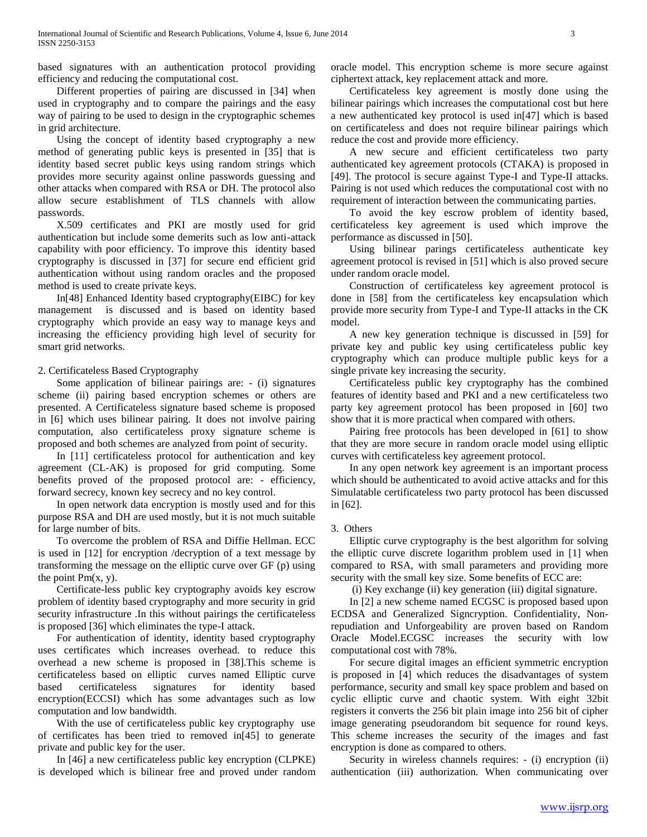based signatures with an authentication protocol providing efficiency and reducing the computational cost.

 Different properties of pairing are discussed in [34] when used in cryptography and to compare the pairings and the easy way of pairing to be used to design in the cryptographic schemes in grid architecture.

 Using the concept of identity based cryptography a new method of generating public keys is presented in [35] that is identity based secret public keys using random strings which provides more security against online passwords guessing and other attacks when compared with RSA or DH. The protocol also allow secure establishment of TLS channels with allow passwords.

 X.509 certificates and PKI are mostly used for grid authentication but include some demerits such as low anti-attack capability with poor efficiency. To improve this identity based cryptography is discussed in [37] for secure end efficient grid authentication without using random oracles and the proposed method is used to create private keys.

 In[48] Enhanced Identity based cryptography(EIBC) for key management is discussed and is based on identity based cryptography which provide an easy way to manage keys and increasing the efficiency providing high level of security for smart grid networks.

## 2. Certificateless Based Cryptography

 Some application of bilinear pairings are: - (i) signatures scheme (ii) pairing based encryption schemes or others are presented. A Certificateless signature based scheme is proposed in [6] which uses bilinear pairing. It does not involve pairing computation, also certificateless proxy signature scheme is proposed and both schemes are analyzed from point of security.

 In [11] certificateless protocol for authentication and key agreement (CL-AK) is proposed for grid computing. Some benefits proved of the proposed protocol are: - efficiency, forward secrecy, known key secrecy and no key control.

 In open network data encryption is mostly used and for this purpose RSA and DH are used mostly, but it is not much suitable for large number of bits.

 To overcome the problem of RSA and Diffie Hellman. ECC is used in [12] for encryption /decryption of a text message by transforming the message on the elliptic curve over GF (p) using the point  $Pm(x, y)$ .

 Certificate-less public key cryptography avoids key escrow problem of identity based cryptography and more security in grid security infrastructure .In this without pairings the certificateless is proposed [36] which eliminates the type-I attack.

 For authentication of identity, identity based cryptography uses certificates which increases overhead. to reduce this overhead a new scheme is proposed in [38].This scheme is certificateless based on elliptic curves named Elliptic curve based certificateless signatures for identity based encryption(ECCSI) which has some advantages such as low computation and low bandwidth.

 With the use of certificateless public key cryptography use of certificates has been tried to removed in[45] to generate private and public key for the user.

 In [46] a new certificateless public key encryption (CLPKE) is developed which is bilinear free and proved under random oracle model. This encryption scheme is more secure against ciphertext attack, key replacement attack and more.

 Certificateless key agreement is mostly done using the bilinear pairings which increases the computational cost but here a new authenticated key protocol is used in[47] which is based on certificateless and does not require bilinear pairings which reduce the cost and provide more efficiency.

 A new secure and efficient certificateless two party authenticated key agreement protocols (CTAKA) is proposed in [49]. The protocol is secure against Type-I and Type-II attacks. Pairing is not used which reduces the computational cost with no requirement of interaction between the communicating parties.

 To avoid the key escrow problem of identity based, certificateless key agreement is used which improve the performance as discussed in [50].

 Using bilinear parings certificateless authenticate key agreement protocol is revised in [51] which is also proved secure under random oracle model.

 Construction of certificateless key agreement protocol is done in [58] from the certificateless key encapsulation which provide more security from Type-I and Type-II attacks in the CK model.

 A new key generation technique is discussed in [59] for private key and public key using certificateless public key cryptography which can produce multiple public keys for a single private key increasing the security.

 Certificateless public key cryptography has the combined features of identity based and PKI and a new certificateless two party key agreement protocol has been proposed in [60] two show that it is more practical when compared with others.

 Pairing free protocols has been developed in [61] to show that they are more secure in random oracle model using elliptic curves with certificateless key agreement protocol.

 In any open network key agreement is an important process which should be authenticated to avoid active attacks and for this Simulatable certificateless two party protocol has been discussed in [62].

## 3. Others

 Elliptic curve cryptography is the best algorithm for solving the elliptic curve discrete logarithm problem used in [1] when compared to RSA, with small parameters and providing more security with the small key size. Some benefits of ECC are:

(i) Key exchange (ii) key generation (iii) digital signature.

 In [2] a new scheme named ECGSC is proposed based upon ECDSA and Generalized Signcryption. Confidentiality, Nonrepudiation and Unforgeability are proven based on Random Oracle Model.ECGSC increases the security with low computational cost with 78%.

 For secure digital images an efficient symmetric encryption is proposed in [4] which reduces the disadvantages of system performance, security and small key space problem and based on cyclic elliptic curve and chaotic system. With eight 32bit registers it converts the 256 bit plain image into 256 bit of cipher image generating pseudorandom bit sequence for round keys. This scheme increases the security of the images and fast encryption is done as compared to others.

Security in wireless channels requires: - (i) encryption (ii) authentication (iii) authorization. When communicating over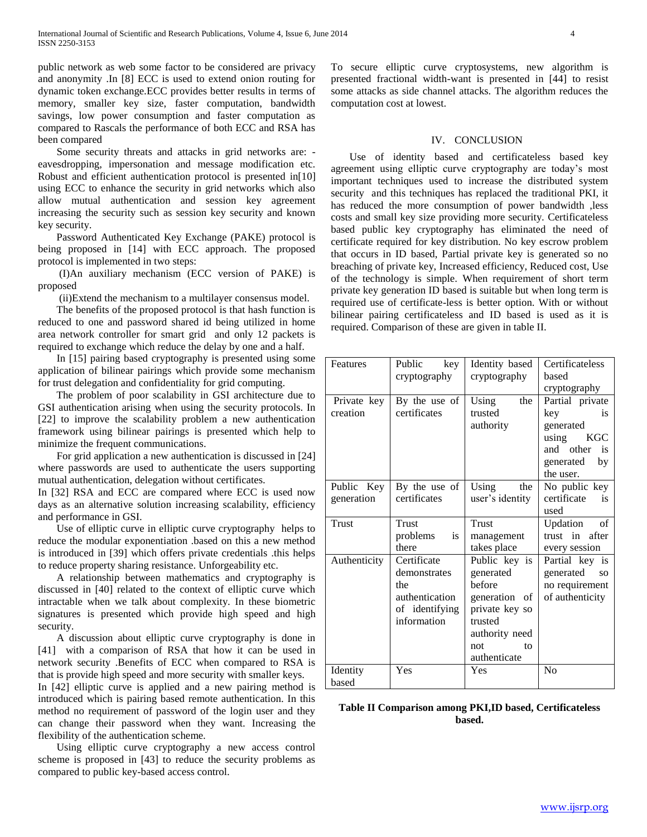public network as web some factor to be considered are privacy and anonymity .In [8] ECC is used to extend onion routing for dynamic token exchange.ECC provides better results in terms of memory, smaller key size, faster computation, bandwidth savings, low power consumption and faster computation as compared to Rascals the performance of both ECC and RSA has been compared

 Some security threats and attacks in grid networks are: eavesdropping, impersonation and message modification etc. Robust and efficient authentication protocol is presented in[10] using ECC to enhance the security in grid networks which also allow mutual authentication and session key agreement increasing the security such as session key security and known key security.

 Password Authenticated Key Exchange (PAKE) protocol is being proposed in [14] with ECC approach. The proposed protocol is implemented in two steps:

 (I)An auxiliary mechanism (ECC version of PAKE) is proposed

(ii)Extend the mechanism to a multilayer consensus model.

 The benefits of the proposed protocol is that hash function is reduced to one and password shared id being utilized in home area network controller for smart grid and only 12 packets is required to exchange which reduce the delay by one and a half.

 In [15] pairing based cryptography is presented using some application of bilinear pairings which provide some mechanism for trust delegation and confidentiality for grid computing.

 The problem of poor scalability in GSI architecture due to GSI authentication arising when using the security protocols. In [22] to improve the scalability problem a new authentication framework using bilinear pairings is presented which help to minimize the frequent communications.

 For grid application a new authentication is discussed in [24] where passwords are used to authenticate the users supporting mutual authentication, delegation without certificates.

In [32] RSA and ECC are compared where ECC is used now days as an alternative solution increasing scalability, efficiency and performance in GSI.

 Use of elliptic curve in elliptic curve cryptography helps to reduce the modular exponentiation .based on this a new method is introduced in [39] which offers private credentials .this helps to reduce property sharing resistance. Unforgeability etc.

 A relationship between mathematics and cryptography is discussed in [40] related to the context of elliptic curve which intractable when we talk about complexity. In these biometric signatures is presented which provide high speed and high security.

 A discussion about elliptic curve cryptography is done in [41] with a comparison of RSA that how it can be used in network security .Benefits of ECC when compared to RSA is that is provide high speed and more security with smaller keys.

In [42] elliptic curve is applied and a new pairing method is introduced which is pairing based remote authentication. In this method no requirement of password of the login user and they can change their password when they want. Increasing the flexibility of the authentication scheme.

 Using elliptic curve cryptography a new access control scheme is proposed in [43] to reduce the security problems as compared to public key-based access control.

To secure elliptic curve cryptosystems, new algorithm is presented fractional width-want is presented in [44] to resist some attacks as side channel attacks. The algorithm reduces the computation cost at lowest.

### IV. CONCLUSION

 Use of identity based and certificateless based key agreement using elliptic curve cryptography are today's most important techniques used to increase the distributed system security and this techniques has replaced the traditional PKI, it has reduced the more consumption of power bandwidth ,less costs and small key size providing more security. Certificateless based public key cryptography has eliminated the need of certificate required for key distribution. No key escrow problem that occurs in ID based, Partial private key is generated so no breaching of private key, Increased efficiency, Reduced cost, Use of the technology is simple. When requirement of short term private key generation ID based is suitable but when long term is required use of certificate-less is better option. With or without bilinear pairing certificateless and ID based is used as it is required. Comparison of these are given in table II.

| Features                 | Public<br>key<br>cryptography                                                         | Identity based<br>cryptography                                                                                                    | Certificateless<br>based<br>cryptography                                                                                        |
|--------------------------|---------------------------------------------------------------------------------------|-----------------------------------------------------------------------------------------------------------------------------------|---------------------------------------------------------------------------------------------------------------------------------|
| Private key<br>creation  | By the use of<br>certificates                                                         | Using<br>the<br>trusted<br>authority                                                                                              | Partial private<br>key<br>is<br>generated<br>using<br><b>KGC</b><br>and other<br>$\mathbf{i}$ s<br>generated<br>by<br>the user. |
| Public Key<br>generation | By the use of<br>certificates                                                         | Using<br>the<br>user's identity                                                                                                   | No public key<br>certificate<br>is<br>used                                                                                      |
| Trust                    | <b>Trust</b><br>problems<br>is<br>there                                               | Trust<br>management<br>takes place                                                                                                | Updation<br>of<br>trust in after<br>every session                                                                               |
| Authenticity             | Certificate<br>demonstrates<br>the<br>authentication<br>of identifying<br>information | Public key is<br>generated<br>before<br>generation of<br>private key so<br>trusted<br>authority need<br>not<br>to<br>authenticate | Partial key is<br>generated<br><b>SO</b><br>no requirement<br>of authenticity                                                   |
| Identity<br>based        | Yes                                                                                   | Yes                                                                                                                               | N <sub>o</sub>                                                                                                                  |

## **Table II Comparison among PKI,ID based, Certificateless based.**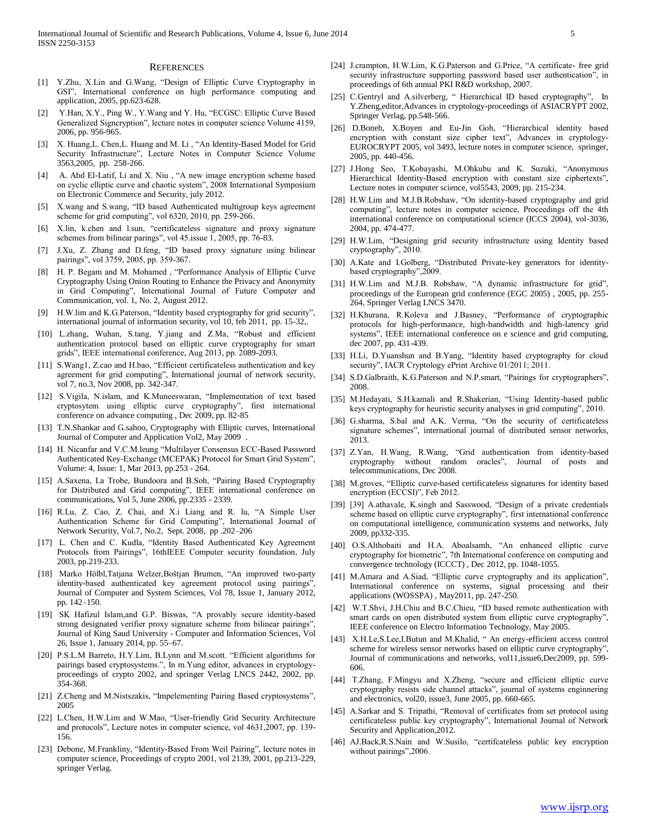#### **REFERENCES**

- [1] Y.Zhu, X.Lin and G.Wang, "Design of Elliptic Curve Cryptography in GSI", International conference on high performance computing and application, 2005, pp.623-628.
- [2] Y.Han, X.Y., Ping W., Y.Wang and Y. Hu, "ECGSC: Elliptic Curve Based Generalized Signcryption", lecture notes in computer science Volume 4159, 2006, pp. 956-965.
- [3] X. Huang,L. Chen,L. Huang and M. Li , "An Identity-Based Model for Grid Security Infrastructure", Lecture Notes in Computer Science Volume 3563,2005, pp. 258-266.
- [4] A. Abd El-Latif, Li and X. Niu , "A new image encryption scheme based on cyclic elliptic curve and chaotic system", 2008 International Symposium on Electronic Commerce and Security, july 2012.
- [5] X.wang and S.wang, "ID based Authenticated multigroup keys agreement scheme for grid computing", vol 6320, 2010, pp. 259-266.
- [6] X.lin, k.chen and l.sun, "certificateless signature and proxy signature schemes from bilinear parings", vol 45.issue 1, 2005, pp. 76-83.
- [7] J.Xu, Z. Zhang and D.feng, "ID based proxy signature using bilinear pairings", vol 3759, 2005, pp. 359-367.
- [8] H. P. Begam and M. Mohamed, "Performance Analysis of Elliptic Curve Cryptography Using Onion Routing to Enhance the Privacy and Anonymity in Grid Computing", International Journal of Future Computer and Communication, vol. 1, No. 2, August 2012.
- [9] H.W.lim and K.G.Paterson, "Identity based cryptography for grid security", international journal of information security, vol 10, feb 2011, pp. 15-32,.
- [10] L.zhang, Wuhan, S.tang, Y.jiang and Z.Ma, "Robust and efficient authentication protocol based on elliptic curve cryptography for smart grids", IEEE international conference, Aug 2013, pp. 2089-2093.
- [11] S.Wang1, Z.cao and H.bao, "Efficient certificateless authentication and key agreement for grid computing", International journal of network security, vol 7, no.3, Nov 2008, pp. 342-347.
- [12] S.Vigila, N.islam, and K.Muneeswaran, "Implementation of text based cryptosytem using elliptic curve cryptography", first international conference on advance computing , Dec 2009, pp. 82-85
- [13] T.N.Shankar and G.sahoo, Cryptography with Elliptic curves, International Journal of Computer and Application Vol2, May 2009 .
- [14] H. Nicanfar and V.C.M.leung "Multilayer Consensus ECC-Based Password Authenticated Key-Exchange (MCEPAK) Protocol for Smart Grid System", Volume: 4, Issue: 1, Mar 2013, pp.253 - 264.
- [15] A.Saxena, La Trobe, Bundoora and B.Soh, "Pairing Based Cryptography for Distributed and Grid computing", IEEE international conference on communications, Vol 5, June 2006, pp.2335 - 2339.
- [16] R.Lu, Z. Cao, Z. Chai, and X.i Liang and R. lu, "A Simple User Authentication Scheme for Grid Computing", International Journal of Network Security, Vol.7, No.2, Sept. 2008, pp .202–206
- [17] L. Chen and C. Kudla, "Identity Based Authenticated Key Agreement Protocols from Pairings", 16thIEEE Computer security foundation, July 2003, pp.219-233.
- [18] Marko Hölbl,Tatjana Welzer,Boštjan Brumen, "An improved two-party identity-based authenticated key agreement protocol using pairings", Journal of Computer and System Sciences, Vol 78, Issue 1, January 2012, pp. 142–150.
- [19] SK Hafizul Islam,and G.P. Biswas, "A provably secure identity-based strong designated verifier proxy signature scheme from bilinear pairings", Journal of King Saud University - Computer and Information Sciences, Vol 26, Issue 1, January 2014, pp. 55–67.
- [20] P.S.L.M Barreto, H.Y.Lim, B.Lynn and M.scott. "Efficient algorithms for pairings based cryptosystems.", In m.Yung editor, advances in cryptologyproceedings of crypto 2002, and springer Verlag LNCS 2442, 2002, pp. 354-368.
- [21] Z.Cheng and M.Nistszakis, "Impelementing Pairing Based cryptosystems", 2005
- [22] L.Chen, H.W.Lim and W.Mao, "User-friendly Grid Security Architecture and protocols", Lecture notes in computer science, vol 4631,2007, pp. 139- 156.
- [23] Debone, M.Frankliny, "Identity-Based From Weil Pairing", lecture notes in computer science, Proceedings of crypto 2001, vol 2139, 2001, pp.213-229, springer Verlag.
- [24] J.crampton, H.W.Lim, K.G.Paterson and G.Price, "A certificate- free grid security infrastructure supporting password based user authentication", in proceedings of 6th annual PKI R&D workshop, 2007.
- [25] C.Gentryl and A.silverberg, "Hierarchical ID based cryptography", In Y.Zheng,editor,Advances in cryptology-proceedings of ASIACRYPT 2002, Springer Verlag, pp.548-566.
- [26] D.Boneh, X.Boyen and Eu-Jin Goh, "Hierarchical identity based encryption with constant size cipher text", Advances in cryptology-EUROCRYPT 2005, vol 3493, lecture notes in computer science, springer, 2005, pp. 440-456.
- [27] J.Hong Seo, T.Kobayashi, M.Ohkubu and K. Suzuki, "Anonymous Hierarchical Identity-Based encryption with constant size ciphertexts", Lecture notes in computer science, vol5543, 2009, pp. 215-234.
- [28] H.W.Lim and M.J.B.Robshaw, "On identity-based cryptography and grid computing", lecture notes in computer science, Proceedings off the 4th international conference on computational science (ICCS 2004), vol-3036, 2004, pp. 474-477.
- [29] H.W.Lim, "Designing grid security infrastructure using Identity based cryptography", 2010.
- [30] A.Kate and I.Golberg, "Distributed Private-key generators for identitybased cryptography",2009.
- [31] H.W.Lim and M.J.B. Robshaw, "A dynamic infrastructure for grid", proceedings of the European grid conference (EGC 2005) , 2005, pp. 255- 264, Springer Verlag LNCS 3470.
- [32] H.Khurana, R.Koleva and J.Basney, "Performance of cryptographic protocols for high-performance, high-bandwidth and high-latency grid systems", IEEE international conference on e science and grid computing, dec 2007, pp. 431-439.
- [33] H.Li, D.Yuanshun and B.Yang, "Identity based cryptography for cloud security", IACR Cryptology ePrint Archive 01/2011; 2011.
- [34] S.D.Galbraith, K.G.Paterson and N.P.smart, "Pairings for cryptographers", 2008.
- [35] M.Hedayati, S.H.kamali and R.Shakerian, "Using Identity-based public keys cryptography for heuristic security analyses in grid computing", 2010.
- [36] G.sharma, S.bal and A.K. Verma, "On the security of certificateless signature schemes", international journal of distributed sensor networks, 2013.
- [37] Z.Yan, H.Wang, R.Wang, "Grid authentication from identity-based cryptography without random oracles", Journal of posts and telecommunications, Dec 2008.
- [38] M.groves, "Elliptic curve-based certificateless signatures for identity based encryption (ECCSI)", Feb 2012.
- [39] [39] A.athavale, K.singh and Sasswood, "Design of a private credentials scheme based on elliptic curve cryptography", first international conference on computational intelligence, communication systems and networks, July 2009, pp332-335.
- [40] O.S.Althobaiti and H.A. Aboalsamh, "An enhanced elliptic curve cryptography for biometric", 7th International conference on computing and convergence technology (ICCCT) , Dec 2012, pp. 1048-1055.
- [41] M.Amara and A.Siad, "Elliptic curve cryptography and its application", International conference on systems, signal processing and their applications (WOSSPA) , May2011, pp. 247-250.
- [42] W.T.Shvi, J.H.Chiu and B.C.Chieu, "ID based remote authentication with smart cards on open distributed system from elliptic curve cryptography", IEEE conference on Electro Information Technology, May 2005.
- [43] X.H.Le,S.Lee,I.Butun and M.Khalid, " An energy-efficient access control scheme for wireless sensor networks based on elliptic curve cryptography", Journal of communications and networks, vol11,issue6,Dec2009, pp. 599- 606.
- [44] T.Zhang, F.Mingyu and X.Zheng, "secure and efficient elliptic curve cryptography resists side channel attacks", journal of systems enginnering and electronics, vol20, issue3, June 2005, pp. 660-665.
- [45] A.Sarkar and S. Tripathi, "Removal of certificates from set protocol using certificateless public key cryptography", International Journal of Network Security and Application,2012.
- [46] AJ.Back,R.S.Nain and W.Susilo, "certifcateless public key encryption without pairings",2006.